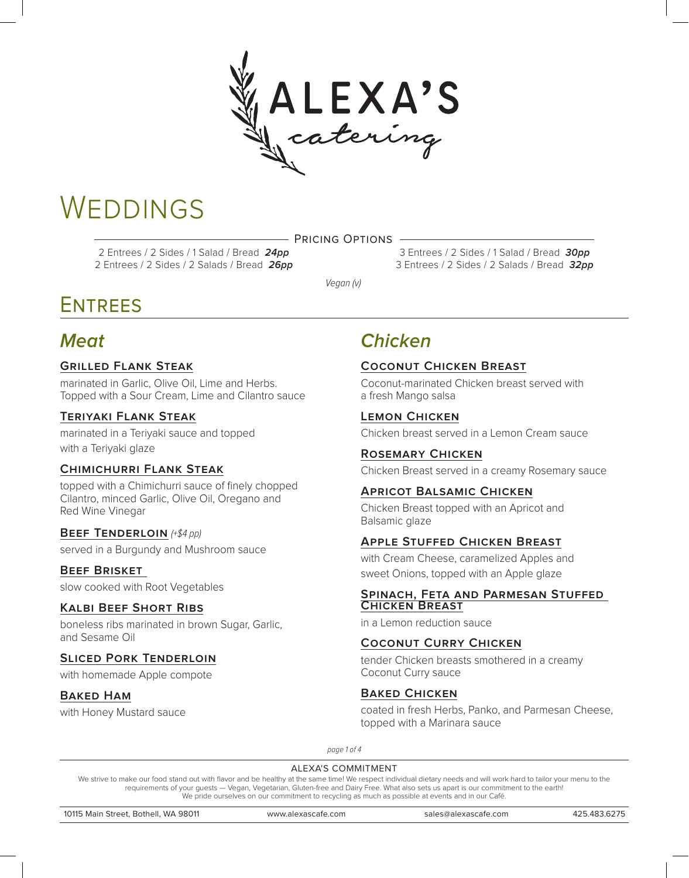

# **WEDDINGS**

Pricing Options

2 Entrees / 2 Sides / 1 Salad / Bread **24pp** 2 Entrees / 2 Sides / 2 Salads / Bread **26pp**

3 Entrees / 2 Sides / 1 Salad / Bread **30pp** 3 Entrees / 2 Sides / 2 Salads / Bread **32pp**

Vegan (v)

# **ENTREES**

# **Meat**

### **Grilled Flank Steak**

marinated in Garlic, Olive Oil, Lime and Herbs. Topped with a Sour Cream, Lime and Cilantro sauce

### **Teriyaki Flank Steak**

marinated in a Teriyaki sauce and topped with a Teriyaki glaze

### **Chimichurri Flank Steak**

topped with a Chimichurri sauce of finely chopped Cilantro, minced Garlic, Olive Oil, Oregano and Red Wine Vinegar

### **BEEF TENDERLOIN** (+\$4 pp)

served in a Burgundy and Mushroom sauce

### **Beef Brisket**

slow cooked with Root Vegetables

### **Kalbi Beef Short Ribs**

boneless ribs marinated in brown Sugar, Garlic, and Sesame Oil

### **Sliced Pork Tenderloin**

with homemade Apple compote

### **Baked Ham**

with Honey Mustard sauce

# **Chicken**

### **Coconut Chicken Breast**

Coconut-marinated Chicken breast served with a fresh Mango salsa

### **Lemon Chicken**

Chicken breast served in a Lemon Cream sauce

### **Rosemary Chicken**

Chicken Breast served in a creamy Rosemary sauce

### **Apricot Balsamic Chicken**

Chicken Breast topped with an Apricot and Balsamic glaze

### **Apple Stuffed Chicken Breast**

with Cream Cheese, caramelized Apples and sweet Onions, topped with an Apple glaze

#### **Spinach, Feta and Parmesan Stuffed Chicken Breast**

in a Lemon reduction sauce

### **Coconut Curry Chicken**

tender Chicken breasts smothered in a creamy Coconut Curry sauce

### **Baked Chicken**

coated in fresh Herbs, Panko, and Parmesan Cheese, topped with a Marinara sauce

page 1 of 4

#### ALEXA'S COMMITMENT

We strive to make our food stand out with flavor and be healthy at the same time! We respect individual dietary needs and will work hard to tailor your menu to the requirements of your guests — Vegan, Vegetarian, Gluten-free and Dairy Free. What also sets us apart is our commitment to the earth! We pride ourselves on our commitment to recycling as much as possible at events and in our Café.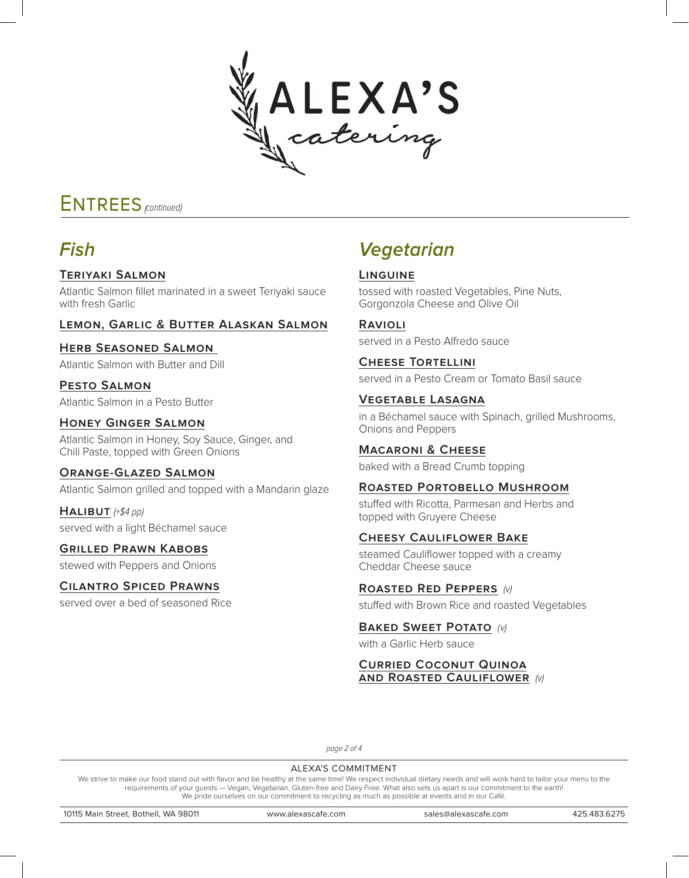

# ENTREES <sub>(continued)</sub>

# **Fish**

### **Teriyaki Salmon**

Atlantic Salmon fillet marinated in a sweet Teriyaki sauce with fresh Garlic

### **Lemon, Garlic & Butter Alaskan Salmon**

### **Herb Seasoned Salmon**

Atlantic Salmon with Butter and Dill

**Pesto Salmon** Atlantic Salmon in a Pesto Butter

### **Honey Ginger Salmon**

Atlantic Salmon in Honey, Soy Sauce, Ginger, and Chili Paste, topped with Green Onions

#### **Orange-Glazed Salmon**

Atlantic Salmon grilled and topped with a Mandarin glaze

 $HALIBUT$  (+\$4 pp) served with a light Béchamel sauce

### **Grilled Prawn Kabobs**

stewed with Peppers and Onions

### **Cilantro Spiced Prawns**

served over a bed of seasoned Rice

# **Vegetarian**

### **Linguine**

tossed with roasted Vegetables, Pine Nuts, Gorgonzola Cheese and Olive Oil

### **Ravioli**

served in a Pesto Alfredo sauce

# **Cheese Tortellini**

served in a Pesto Cream or Tomato Basil sauce

### **Vegetable Lasagna**

in a Béchamel sauce with Spinach, grilled Mushrooms, Onions and Peppers

### **Macaroni & Cheese**

baked with a Bread Crumb topping

### **Roasted Portobello Mushroom**

stuffed with Ricotta, Parmesan and Herbs and topped with Gruyere Cheese

### **Cheesy Cauliflower Bake**

steamed Cauliflower topped with a creamy Cheddar Cheese sauce

### **Roasted Red Peppers** (v)

stuffed with Brown Rice and roasted Vegetables

### **BAKED SWEET POTATO** (v)

with a Garlic Herb sauce

#### **Curried Coconut Quinoa and Roasted Cauliflower** (v)

page 2 of 4

#### ALEXA'S COMMITMENT

We strive to make our food stand out with flavor and be healthy at the same time! We respect individual dietary needs and will work hard to tailor your menu to the requirements of your guests — Vegan, Vegetarian, Gluten-free and Dairy Free. What also sets us apart is our commitment to the earth! We pride ourselves on our commitment to recycling as much as possible at events and in our Café.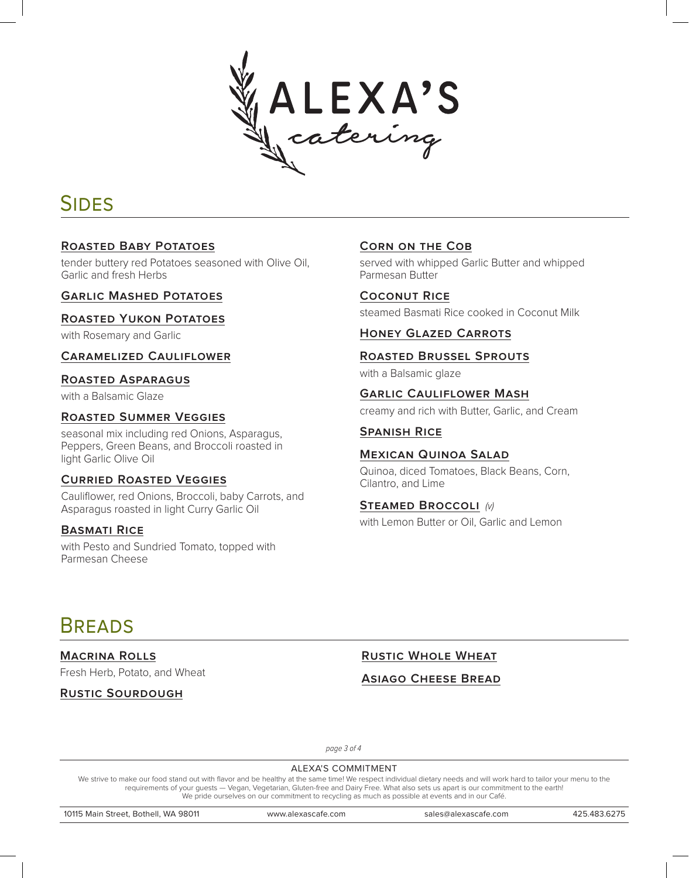

# **SIDES**

### **Roasted Baby Potatoes**

tender buttery red Potatoes seasoned with Olive Oil, Garlic and fresh Herbs

### **Garlic Mashed Potatoes**

### **Roasted Yukon Potatoes**

with Rosemary and Garlic

**Caramelized Cauliflower**

### **Roasted Asparagus**

with a Balsamic Glaze

### **Roasted Summer Veggies**

seasonal mix including red Onions, Asparagus, Peppers, Green Beans, and Broccoli roasted in light Garlic Olive Oil

### **Curried Roasted Veggies**

Cauliflower, red Onions, Broccoli, baby Carrots, and Asparagus roasted in light Curry Garlic Oil

### **Basmati Rice**

with Pesto and Sundried Tomato, topped with Parmesan Cheese

### **Corn on the Cob**

served with whipped Garlic Butter and whipped Parmesan Butter

**Coconut Rice** steamed Basmati Rice cooked in Coconut Milk

### **Honey Glazed Carrots**

### **Roasted Brussel Sprouts**

with a Balsamic glaze

## **Garlic Cauliflower Mash**

creamy and rich with Butter, Garlic, and Cream

### **Spanish Rice**

#### **Mexican Quinoa Salad**

Quinoa, diced Tomatoes, Black Beans, Corn, Cilantro, and Lime

### **Steamed Broccoli** (v)

with Lemon Butter or Oil, Garlic and Lemon

# **BREADS**

**Macrina Rolls** Fresh Herb, Potato, and Wheat

**Rustic Sourdough**

**Rustic Whole Wheat**

### **Asiago Cheese Bread**

page 3 of 4

#### ALEXA'S COMMITMENT

We strive to make our food stand out with flavor and be healthy at the same time! We respect individual dietary needs and will work hard to tailor your menu to the requirements of your guests — Vegan, Vegetarian, Gluten-free and Dairy Free. What also sets us apart is our commitment to the earth! We pride ourselves on our commitment to recycling as much as possible at events and in our Café.